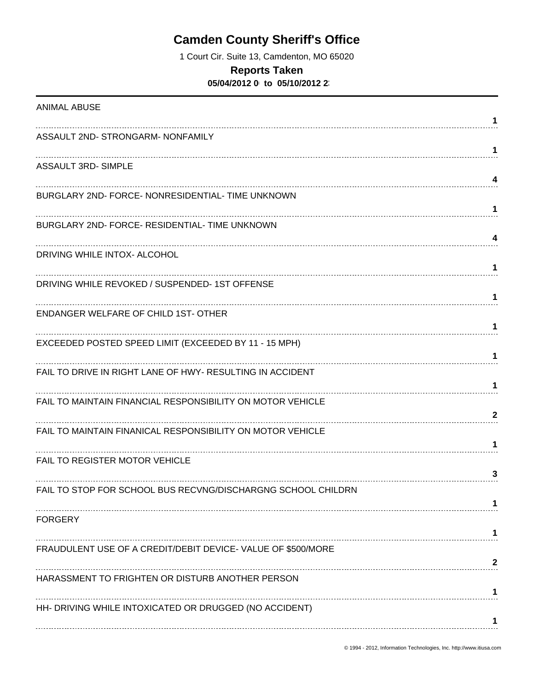# **Camden County Sheriff's Office**

1 Court Cir. Suite 13, Camdenton, MO 65020

### **Reports Taken**

**05/04/2012 0 to 05/10/2012 23** 

| <b>ANIMAL ABUSE</b>                                          | 1            |
|--------------------------------------------------------------|--------------|
| ASSAULT 2ND- STRONGARM- NONFAMILY                            |              |
| <b>ASSAULT 3RD- SIMPLE</b>                                   | 1            |
| BURGLARY 2ND- FORCE- NONRESIDENTIAL- TIME UNKNOWN            | 4            |
| BURGLARY 2ND- FORCE- RESIDENTIAL- TIME UNKNOWN               | 1            |
|                                                              | 4            |
| DRIVING WHILE INTOX- ALCOHOL                                 | 1            |
| DRIVING WHILE REVOKED / SUSPENDED-1ST OFFENSE                | 1            |
| <b>ENDANGER WELFARE OF CHILD 1ST- OTHER</b>                  | 1            |
| EXCEEDED POSTED SPEED LIMIT (EXCEEDED BY 11 - 15 MPH)        | 1            |
| FAIL TO DRIVE IN RIGHT LANE OF HWY- RESULTING IN ACCIDENT    |              |
| FAIL TO MAINTAIN FINANCIAL RESPONSIBILITY ON MOTOR VEHICLE   | $\mathbf{2}$ |
| FAIL TO MAINTAIN FINANICAL RESPONSIBILITY ON MOTOR VEHICLE   | 1            |
| FAIL TO REGISTER MOTOR VEHICLE                               | 3            |
| FAIL TO STOP FOR SCHOOL BUS RECVNG/DISCHARGNG SCHOOL CHILDRN |              |
| <b>FORGERY</b>                                               |              |
| FRAUDULENT USE OF A CREDIT/DEBIT DEVICE- VALUE OF \$500/MORE | 2            |
| HARASSMENT TO FRIGHTEN OR DISTURB ANOTHER PERSON             |              |
| HH- DRIVING WHILE INTOXICATED OR DRUGGED (NO ACCIDENT)       |              |
|                                                              |              |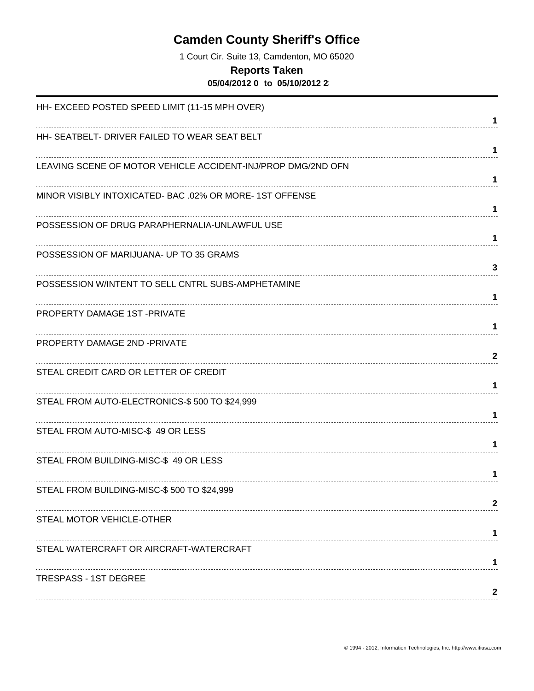# **Camden County Sheriff's Office**

1 Court Cir. Suite 13, Camdenton, MO 65020

#### **Reports Taken**

**05/04/2012 0 to 05/10/2012 23** 

| HH- EXCEED POSTED SPEED LIMIT (11-15 MPH OVER)               |              |
|--------------------------------------------------------------|--------------|
|                                                              | 1            |
| HH- SEATBELT- DRIVER FAILED TO WEAR SEAT BELT                | 1            |
| LEAVING SCENE OF MOTOR VEHICLE ACCIDENT-INJ/PROP DMG/2ND OFN |              |
|                                                              | 1            |
| MINOR VISIBLY INTOXICATED- BAC .02% OR MORE-1ST OFFENSE      |              |
|                                                              | 1            |
| POSSESSION OF DRUG PARAPHERNALIA-UNLAWFUL USE                | 1            |
| POSSESSION OF MARIJUANA- UP TO 35 GRAMS                      |              |
|                                                              | 3            |
| POSSESSION W/INTENT TO SELL CNTRL SUBS-AMPHETAMINE           | 1            |
| PROPERTY DAMAGE 1ST-PRIVATE                                  |              |
|                                                              | 1            |
| PROPERTY DAMAGE 2ND -PRIVATE                                 |              |
| STEAL CREDIT CARD OR LETTER OF CREDIT                        | $\mathbf{2}$ |
|                                                              |              |
| STEAL FROM AUTO-ELECTRONICS-\$500 TO \$24,999                |              |
|                                                              | 1            |
| STEAL FROM AUTO-MISC-\$49 OR LESS                            | 1            |
| STEAL FROM BUILDING-MISC-\$ 49 OR LESS                       |              |
|                                                              | 1            |
| STEAL FROM BUILDING-MISC-\$500 TO \$24,999                   |              |
| STEAL MOTOR VEHICLE-OTHER                                    | 2            |
|                                                              | 1            |
| STEAL WATERCRAFT OR AIRCRAFT-WATERCRAFT                      |              |
|                                                              |              |
| <b>TRESPASS - 1ST DEGREE</b>                                 | 2            |
|                                                              |              |